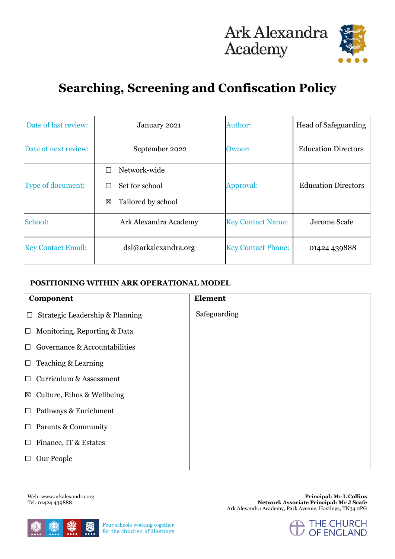# Ark Alexandra<br>Academy



### **Searching, Screening and Confiscation Policy**

| Date of last review:      | January 2021                                                        | Author:                   | Head of Safeguarding       |
|---------------------------|---------------------------------------------------------------------|---------------------------|----------------------------|
| Date of next review:      | September 2022                                                      | Owner:                    | <b>Education Directors</b> |
| Type of document:         | Network-wide<br>П<br>Set for school<br>П<br>Tailored by school<br>区 | Approval:                 | <b>Education Directors</b> |
| School:                   | Ark Alexandra Academy                                               | <b>Key Contact Name:</b>  | Jerome Scafe               |
| <b>Key Contact Email:</b> | dsl@arkalexandra.org                                                | <b>Key Contact Phone:</b> | 01424 439888               |

#### **POSITIONING WITHIN ARK OPERATIONAL MODEL**

| <b>Component</b>                          | <b>Element</b> |
|-------------------------------------------|----------------|
| Strategic Leadership & Planning<br>$\Box$ | Safeguarding   |
| Monitoring, Reporting & Data<br>$\Box$    |                |
| Governance & Accountabilities<br>П        |                |
| Teaching & Learning<br>$\Box$             |                |
| Curriculum & Assessment<br>П              |                |
| $\boxtimes$ Culture, Ethos & Wellbeing    |                |
| Pathways & Enrichment<br>$\Box$           |                |
| $\Box$ Parents & Community                |                |
| Finance, IT & Estates<br>$\Box$           |                |
| Our People<br>□                           |                |

Web: www.arkalexandra.org Tel: 01424 439888



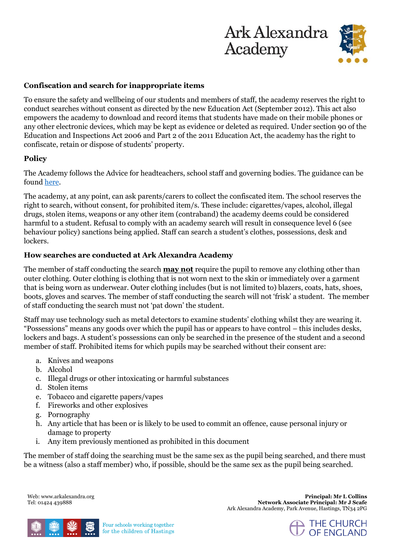## Ark Alexandra **Academy**



#### **Confiscation and search for inappropriate items**

To ensure the safety and wellbeing of our students and members of staff, the academy reserves the right to conduct searches without consent as directed by the new Education Act (September 2012). This act also empowers the academy to download and record items that students have made on their mobile phones or any other electronic devices, which may be kept as evidence or deleted as required. Under section 90 of the Education and Inspections Act 2006 and Part 2 of the 2011 Education Act, the academy has the right to confiscate, retain or dispose of students' property.

#### **Policy**

The Academy follows the Advice for headteachers, school staff and governing bodies. The guidance can be found [here.](https://assets.publishing.service.gov.uk/government/uploads/system/uploads/attachment_data/file/674416/Searching_screening_and_confiscation.pdf)

The academy, at any point, can ask parents/carers to collect the confiscated item. The school reserves the right to search, without consent, for prohibited item/s. These include: cigarettes/vapes, alcohol, illegal drugs, stolen items, weapons or any other item (contraband) the academy deems could be considered harmful to a student. Refusal to comply with an academy search will result in consequence level 6 (see behaviour policy) sanctions being applied. Staff can search a student's clothes, possessions, desk and lockers.

#### **How searches are conducted at Ark Alexandra Academy**

The member of staff conducting the search **may not** require the pupil to remove any clothing other than outer clothing. Outer clothing is clothing that is not worn next to the skin or immediately over a garment that is being worn as underwear. Outer clothing includes (but is not limited to) blazers, coats, hats, shoes, boots, gloves and scarves. The member of staff conducting the search will not 'frisk' a student. The member of staff conducting the search must not 'pat down' the student.

Staff may use technology such as metal detectors to examine students' clothing whilst they are wearing it. "Possessions" means any goods over which the pupil has or appears to have control – this includes desks, lockers and bags. A student's possessions can only be searched in the presence of the student and a second member of staff. Prohibited items for which pupils may be searched without their consent are:

- a. Knives and weapons
- b. Alcohol
- c. Illegal drugs or other intoxicating or harmful substances
- d. Stolen items
- e. Tobacco and cigarette papers/vapes
- f. Fireworks and other explosives
- g. Pornography
- h. Any article that has been or is likely to be used to commit an offence, cause personal injury or damage to property
- i. Any item previously mentioned as prohibited in this document

The member of staff doing the searching must be the same sex as the pupil being searched, and there must be a witness (also a staff member) who, if possible, should be the same sex as the pupil being searched.

Web: www.arkalexandra.org Tel: 01424 439888

**Principal: Mr L Collins Network Associate Principal: Mr J Scafe** Ark Alexandra Academy, Park Avenue, Hastings, TN34 2PG



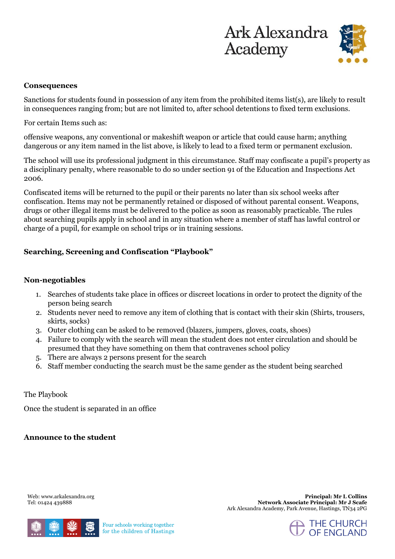



#### **Consequences**

Sanctions for students found in possession of any item from the prohibited items list(s), are likely to result in consequences ranging from; but are not limited to, after school detentions to fixed term exclusions.

For certain Items such as:

offensive weapons, any conventional or makeshift weapon or article that could cause harm; anything dangerous or any item named in the list above, is likely to lead to a fixed term or permanent exclusion.

The school will use its professional judgment in this circumstance. Staff may confiscate a pupil's property as a disciplinary penalty, where reasonable to do so under section 91 of the Education and Inspections Act 2006.

Confiscated items will be returned to the pupil or their parents no later than six school weeks after confiscation. Items may not be permanently retained or disposed of without parental consent. Weapons, drugs or other illegal items must be delivered to the police as soon as reasonably practicable. The rules about searching pupils apply in school and in any situation where a member of staff has lawful control or charge of a pupil, for example on school trips or in training sessions.

#### **Searching, Screening and Confiscation "Playbook"**

#### **Non-negotiables**

- 1. Searches of students take place in offices or discreet locations in order to protect the dignity of the person being search
- 2. Students never need to remove any item of clothing that is contact with their skin (Shirts, trousers, skirts, socks)
- 3. Outer clothing can be asked to be removed (blazers, jumpers, gloves, coats, shoes)
- 4. Failure to comply with the search will mean the student does not enter circulation and should be presumed that they have something on them that contravenes school policy
- 5. There are always 2 persons present for the search
- 6. Staff member conducting the search must be the same gender as the student being searched

The Playbook

Once the student is separated in an office

**Announce to the student** 

Web: www.arkalexandra.org Tel: 01424 439888



Four schools working together for the children of Hastings

**Principal: Mr L Collins Network Associate Principal: Mr J Scafe** Ark Alexandra Academy, Park Avenue, Hastings, TN34 2PG